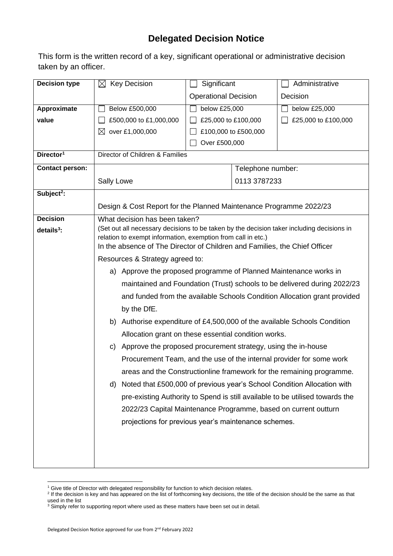## **Delegated Decision Notice**

This form is the written record of a key, significant operational or administrative decision taken by an officer.

| <b>Decision type</b>   | $\boxtimes$ Key Decision                                                                                                                                  | Significant                                                               |  | Administrative      |  |  |
|------------------------|-----------------------------------------------------------------------------------------------------------------------------------------------------------|---------------------------------------------------------------------------|--|---------------------|--|--|
|                        |                                                                                                                                                           | <b>Operational Decision</b>                                               |  | Decision            |  |  |
| Approximate            | Below £500,000                                                                                                                                            | below £25,000                                                             |  | below £25,000       |  |  |
| value                  | £500,000 to £1,000,000                                                                                                                                    | £25,000 to £100,000                                                       |  | £25,000 to £100,000 |  |  |
|                        | ⊠<br>over £1,000,000                                                                                                                                      | £100,000 to £500,000                                                      |  |                     |  |  |
|                        |                                                                                                                                                           | Over £500,000                                                             |  |                     |  |  |
| Director <sup>1</sup>  | Director of Children & Families                                                                                                                           |                                                                           |  |                     |  |  |
| <b>Contact person:</b> |                                                                                                                                                           |                                                                           |  | Telephone number:   |  |  |
|                        | Sally Lowe                                                                                                                                                | 0113 3787233                                                              |  |                     |  |  |
| Subject <sup>2</sup> : |                                                                                                                                                           |                                                                           |  |                     |  |  |
|                        | Design & Cost Report for the Planned Maintenance Programme 2022/23                                                                                        |                                                                           |  |                     |  |  |
| <b>Decision</b>        | What decision has been taken?                                                                                                                             |                                                                           |  |                     |  |  |
| $details3$ :           | (Set out all necessary decisions to be taken by the decision taker including decisions in<br>relation to exempt information, exemption from call in etc.) |                                                                           |  |                     |  |  |
|                        | In the absence of The Director of Children and Families, the Chief Officer                                                                                |                                                                           |  |                     |  |  |
|                        | Resources & Strategy agreed to:                                                                                                                           |                                                                           |  |                     |  |  |
|                        | a) Approve the proposed programme of Planned Maintenance works in                                                                                         |                                                                           |  |                     |  |  |
|                        | maintained and Foundation (Trust) schools to be delivered during 2022/23                                                                                  |                                                                           |  |                     |  |  |
|                        | and funded from the available Schools Condition Allocation grant provided                                                                                 |                                                                           |  |                     |  |  |
|                        | by the DfE.                                                                                                                                               |                                                                           |  |                     |  |  |
|                        |                                                                                                                                                           | b) Authorise expenditure of £4,500,000 of the available Schools Condition |  |                     |  |  |
|                        | Allocation grant on these essential condition works.                                                                                                      |                                                                           |  |                     |  |  |
|                        | c) Approve the proposed procurement strategy, using the in-house                                                                                          |                                                                           |  |                     |  |  |
|                        | Procurement Team, and the use of the internal provider for some work                                                                                      |                                                                           |  |                     |  |  |
|                        | areas and the Constructionline framework for the remaining programme.                                                                                     |                                                                           |  |                     |  |  |
|                        | d)                                                                                                                                                        | Noted that £500,000 of previous year's School Condition Allocation with   |  |                     |  |  |
|                        | pre-existing Authority to Spend is still available to be utilised towards the                                                                             |                                                                           |  |                     |  |  |
|                        | 2022/23 Capital Maintenance Programme, based on current outturn                                                                                           |                                                                           |  |                     |  |  |
|                        |                                                                                                                                                           | projections for previous year's maintenance schemes.                      |  |                     |  |  |
|                        |                                                                                                                                                           |                                                                           |  |                     |  |  |
|                        |                                                                                                                                                           |                                                                           |  |                     |  |  |
|                        |                                                                                                                                                           |                                                                           |  |                     |  |  |

<sup>&</sup>lt;sup>1</sup> Give title of Director with delegated responsibility for function to which decision relates.

<sup>&</sup>lt;sup>2</sup> If the decision is key and has appeared on the list of forthcoming key decisions, the title of the decision should be the same as that used in the list

 $3$  Simply refer to supporting report where used as these matters have been set out in detail.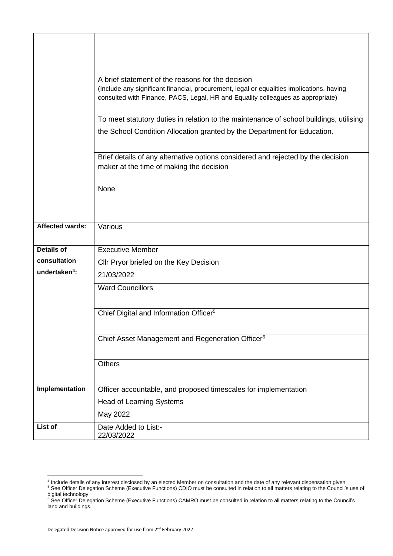|                           | A brief statement of the reasons for the decision<br>(Include any significant financial, procurement, legal or equalities implications, having<br>consulted with Finance, PACS, Legal, HR and Equality colleagues as appropriate) |  |  |  |  |  |
|---------------------------|-----------------------------------------------------------------------------------------------------------------------------------------------------------------------------------------------------------------------------------|--|--|--|--|--|
|                           | To meet statutory duties in relation to the maintenance of school buildings, utilising                                                                                                                                            |  |  |  |  |  |
|                           | the School Condition Allocation granted by the Department for Education.                                                                                                                                                          |  |  |  |  |  |
|                           | Brief details of any alternative options considered and rejected by the decision<br>maker at the time of making the decision                                                                                                      |  |  |  |  |  |
|                           | None                                                                                                                                                                                                                              |  |  |  |  |  |
|                           |                                                                                                                                                                                                                                   |  |  |  |  |  |
| <b>Affected wards:</b>    | Various                                                                                                                                                                                                                           |  |  |  |  |  |
| <b>Details of</b>         | <b>Executive Member</b>                                                                                                                                                                                                           |  |  |  |  |  |
| consultation              | Cllr Pryor briefed on the Key Decision                                                                                                                                                                                            |  |  |  |  |  |
| undertaken <sup>4</sup> : | 21/03/2022                                                                                                                                                                                                                        |  |  |  |  |  |
|                           | <b>Ward Councillors</b>                                                                                                                                                                                                           |  |  |  |  |  |
|                           |                                                                                                                                                                                                                                   |  |  |  |  |  |
|                           | Chief Digital and Information Officer <sup>5</sup>                                                                                                                                                                                |  |  |  |  |  |
|                           | Chief Asset Management and Regeneration Officer <sup>6</sup>                                                                                                                                                                      |  |  |  |  |  |
|                           |                                                                                                                                                                                                                                   |  |  |  |  |  |
|                           | <b>Others</b>                                                                                                                                                                                                                     |  |  |  |  |  |
| Implementation            |                                                                                                                                                                                                                                   |  |  |  |  |  |
|                           | Officer accountable, and proposed timescales for implementation                                                                                                                                                                   |  |  |  |  |  |
|                           | <b>Head of Learning Systems</b>                                                                                                                                                                                                   |  |  |  |  |  |
|                           | May 2022                                                                                                                                                                                                                          |  |  |  |  |  |
| List of                   | Date Added to List:-<br>22/03/2022                                                                                                                                                                                                |  |  |  |  |  |

<sup>4</sup> Include details of any interest disclosed by an elected Member on consultation and the date of any relevant dispensation given.

<sup>&</sup>lt;sup>5</sup> See Officer Delegation Scheme (Executive Functions) CDIO must be consulted in relation to all matters relating to the Council's use of digital technology

<sup>&</sup>lt;sup>6</sup> See Officer Delegation Scheme (Executive Functions) CAMRO must be consulted in relation to all matters relating to the Council's land and buildings.